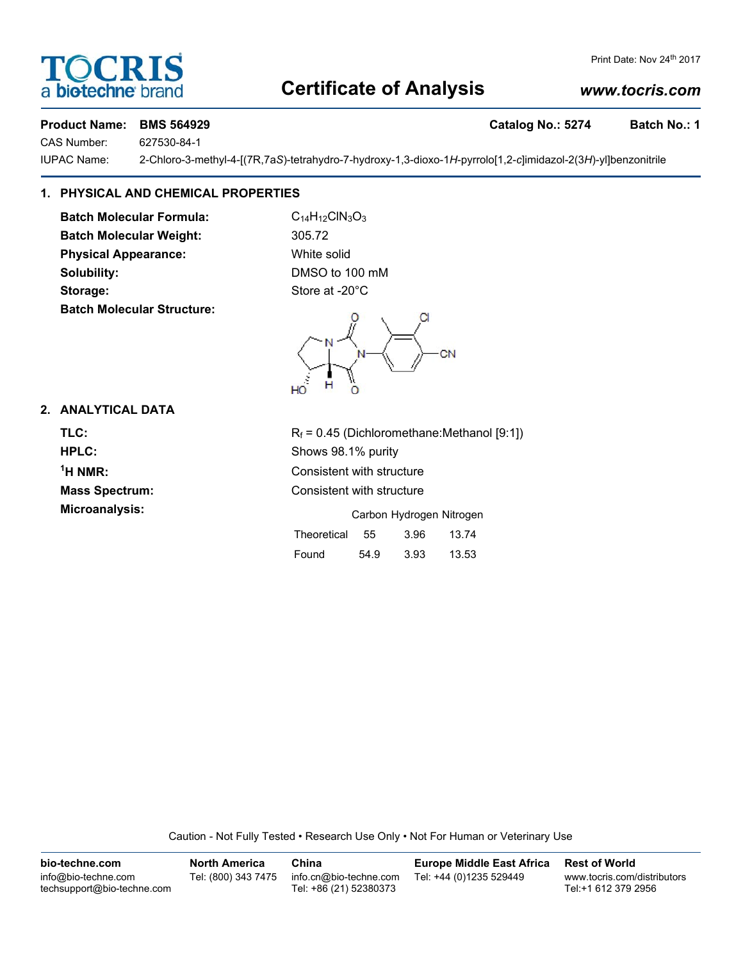# **Certificate of Analysis**

## Print Date: Nov 24th 2017

### *www.tocris.com*

**Product Name: BMS 564929 Catalog No.: 5274 Batch No.: 1**

CAS Number: 627530-84-1

OCRI

biotechne b

IUPAC Name: 2-Chloro-3-methyl-4-[(7R,7a*S*)-tetrahydro-7-hydroxy-1,3-dioxo-1*H*-pyrrolo[1,2-*c*]imidazol-2(3*H*)-yl]benzonitrile

#### **1. PHYSICAL AND CHEMICAL PROPERTIES**

**Batch Molecular Formula:** C<sub>14</sub>H<sub>12</sub>ClN<sub>3</sub>O<sub>3</sub> **Batch Molecular Weight:** 305.72 **Physical Appearance:** White solid **Solubility:** DMSO to 100 mM Storage: Store at -20°C **Batch Molecular Structure:**

#### **2. ANALYTICAL DATA**

 $<sup>1</sup>H NMR$ :</sup>

**TLC:**  $R_f = 0.45$  (Dichloromethane:Methanol [9:1]) **HPLC:** Shows 98.1% purity **Consistent with structure Mass Spectrum:** Consistent with structure **Microanalysis:** Carbon Hydrogen Nitrogen Theoretical 55 3.96 13.74

| Found | 54.9 | 3.93 | 13.53 |
|-------|------|------|-------|

Caution - Not Fully Tested • Research Use Only • Not For Human or Veterinary Use

**bio-techne.com** info@bio-techne.com techsupport@bio-techne.com **North America** Tel: (800) 343 7475 **China** info.cn@bio-techne.com Tel: +86 (21) 52380373 **Europe Middle East Africa** Tel: +44 (0)1235 529449 **Rest of World** www.tocris.com/distributors Tel:+1 612 379 2956